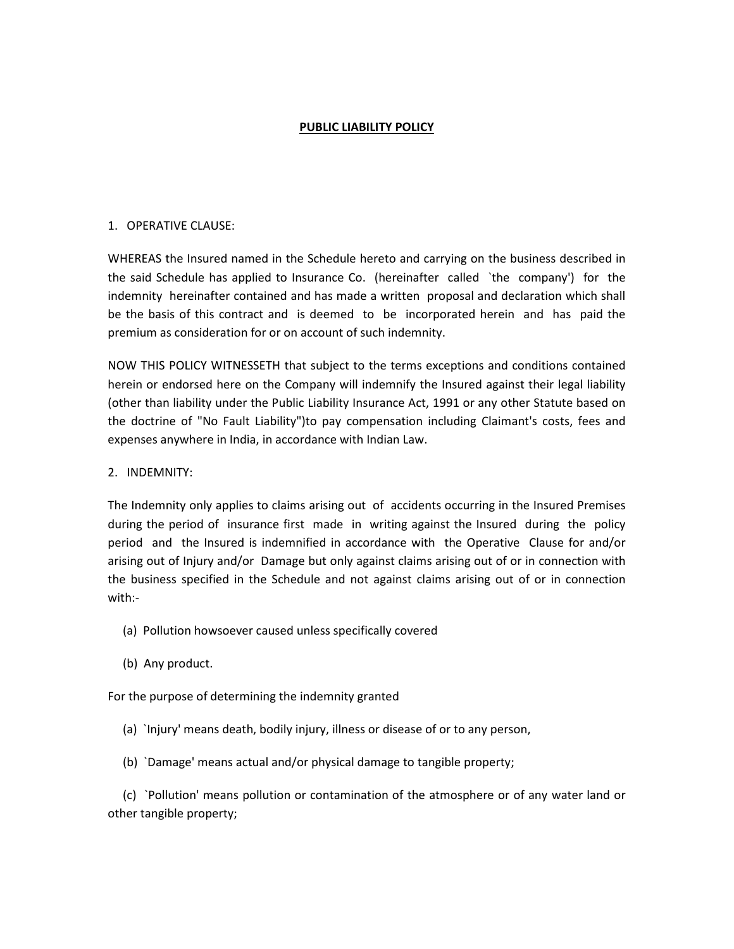### PUBLIC LIABILITY POLICY

### 1. OPERATIVE CLAUSE:

WHEREAS the Insured named in the Schedule hereto and carrying on the business described in the said Schedule has applied to Insurance Co. (hereinafter called `the company') for the indemnity hereinafter contained and has made a written proposal and declaration which shall be the basis of this contract and is deemed to be incorporated herein and has paid the premium as consideration for or on account of such indemnity.

NOW THIS POLICY WITNESSETH that subject to the terms exceptions and conditions contained herein or endorsed here on the Company will indemnify the Insured against their legal liability (other than liability under the Public Liability Insurance Act, 1991 or any other Statute based on the doctrine of "No Fault Liability")to pay compensation including Claimant's costs, fees and expenses anywhere in India, in accordance with Indian Law.

### 2. INDEMNITY:

The Indemnity only applies to claims arising out of accidents occurring in the Insured Premises during the period of insurance first made in writing against the Insured during the policy period and the Insured is indemnified in accordance with the Operative Clause for and/or arising out of Injury and/or Damage but only against claims arising out of or in connection with the business specified in the Schedule and not against claims arising out of or in connection with:-

- (a) Pollution howsoever caused unless specifically covered
- (b) Any product.

For the purpose of determining the indemnity granted

- (a) `Injury' means death, bodily injury, illness or disease of or to any person,
- (b) `Damage' means actual and/or physical damage to tangible property;

 (c) `Pollution' means pollution or contamination of the atmosphere or of any water land or other tangible property;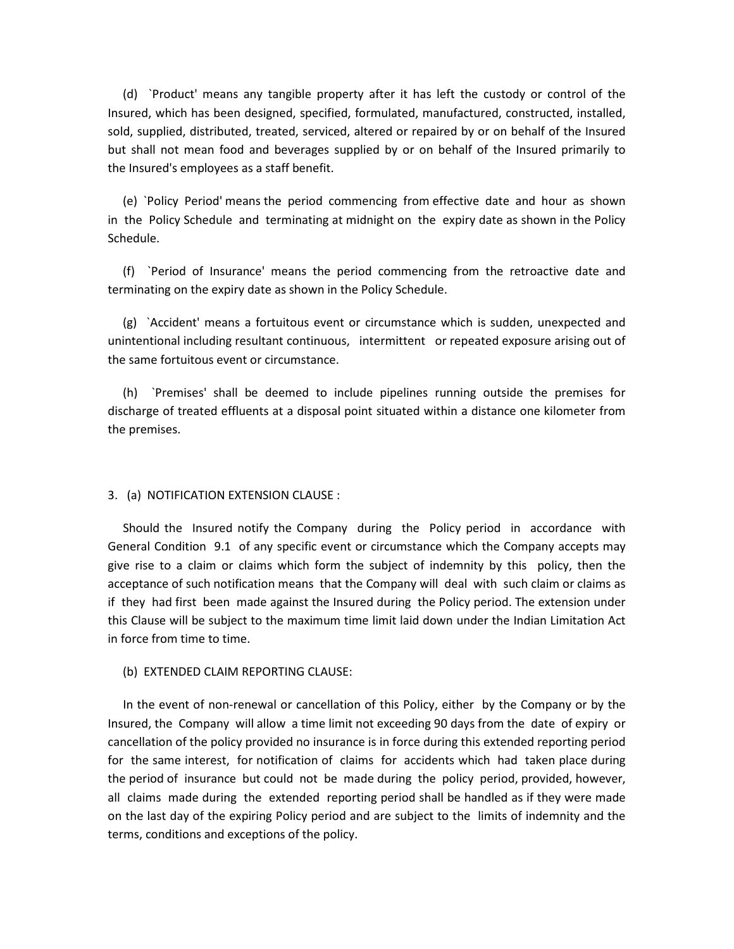(d) `Product' means any tangible property after it has left the custody or control of the Insured, which has been designed, specified, formulated, manufactured, constructed, installed, sold, supplied, distributed, treated, serviced, altered or repaired by or on behalf of the Insured but shall not mean food and beverages supplied by or on behalf of the Insured primarily to the Insured's employees as a staff benefit.

 (e) `Policy Period' means the period commencing from effective date and hour as shown in the Policy Schedule and terminating at midnight on the expiry date as shown in the Policy Schedule.

 (f) `Period of Insurance' means the period commencing from the retroactive date and terminating on the expiry date as shown in the Policy Schedule.

 (g) `Accident' means a fortuitous event or circumstance which is sudden, unexpected and unintentional including resultant continuous, intermittent or repeated exposure arising out of the same fortuitous event or circumstance.

 (h) `Premises' shall be deemed to include pipelines running outside the premises for discharge of treated effluents at a disposal point situated within a distance one kilometer from the premises.

#### 3. (a) NOTIFICATION EXTENSION CLAUSE :

 Should the Insured notify the Company during the Policy period in accordance with General Condition 9.1 of any specific event or circumstance which the Company accepts may give rise to a claim or claims which form the subject of indemnity by this policy, then the acceptance of such notification means that the Company will deal with such claim or claims as if they had first been made against the Insured during the Policy period. The extension under this Clause will be subject to the maximum time limit laid down under the Indian Limitation Act in force from time to time.

#### (b) EXTENDED CLAIM REPORTING CLAUSE:

 In the event of non-renewal or cancellation of this Policy, either by the Company or by the Insured, the Company will allow a time limit not exceeding 90 days from the date of expiry or cancellation of the policy provided no insurance is in force during this extended reporting period for the same interest, for notification of claims for accidents which had taken place during the period of insurance but could not be made during the policy period, provided, however, all claims made during the extended reporting period shall be handled as if they were made on the last day of the expiring Policy period and are subject to the limits of indemnity and the terms, conditions and exceptions of the policy.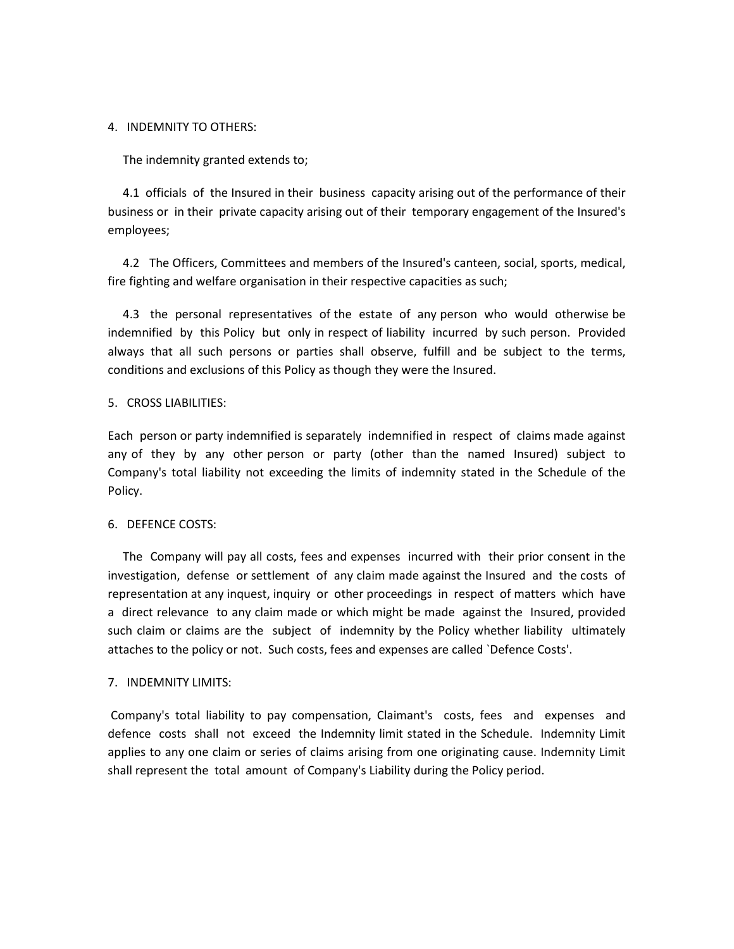#### 4. INDEMNITY TO OTHERS:

The indemnity granted extends to;

 4.1 officials of the Insured in their business capacity arising out of the performance of their business or in their private capacity arising out of their temporary engagement of the Insured's employees;

 4.2 The Officers, Committees and members of the Insured's canteen, social, sports, medical, fire fighting and welfare organisation in their respective capacities as such;

 4.3 the personal representatives of the estate of any person who would otherwise be indemnified by this Policy but only in respect of liability incurred by such person. Provided always that all such persons or parties shall observe, fulfill and be subject to the terms, conditions and exclusions of this Policy as though they were the Insured.

#### 5. CROSS LIABILITIES:

Each person or party indemnified is separately indemnified in respect of claims made against any of they by any other person or party (other than the named Insured) subject to Company's total liability not exceeding the limits of indemnity stated in the Schedule of the Policy.

#### 6. DEFENCE COSTS:

 The Company will pay all costs, fees and expenses incurred with their prior consent in the investigation, defense or settlement of any claim made against the Insured and the costs of representation at any inquest, inquiry or other proceedings in respect of matters which have a direct relevance to any claim made or which might be made against the Insured, provided such claim or claims are the subject of indemnity by the Policy whether liability ultimately attaches to the policy or not. Such costs, fees and expenses are called `Defence Costs'.

#### 7. INDEMNITY LIMITS:

 Company's total liability to pay compensation, Claimant's costs, fees and expenses and defence costs shall not exceed the Indemnity limit stated in the Schedule. Indemnity Limit applies to any one claim or series of claims arising from one originating cause. Indemnity Limit shall represent the total amount of Company's Liability during the Policy period.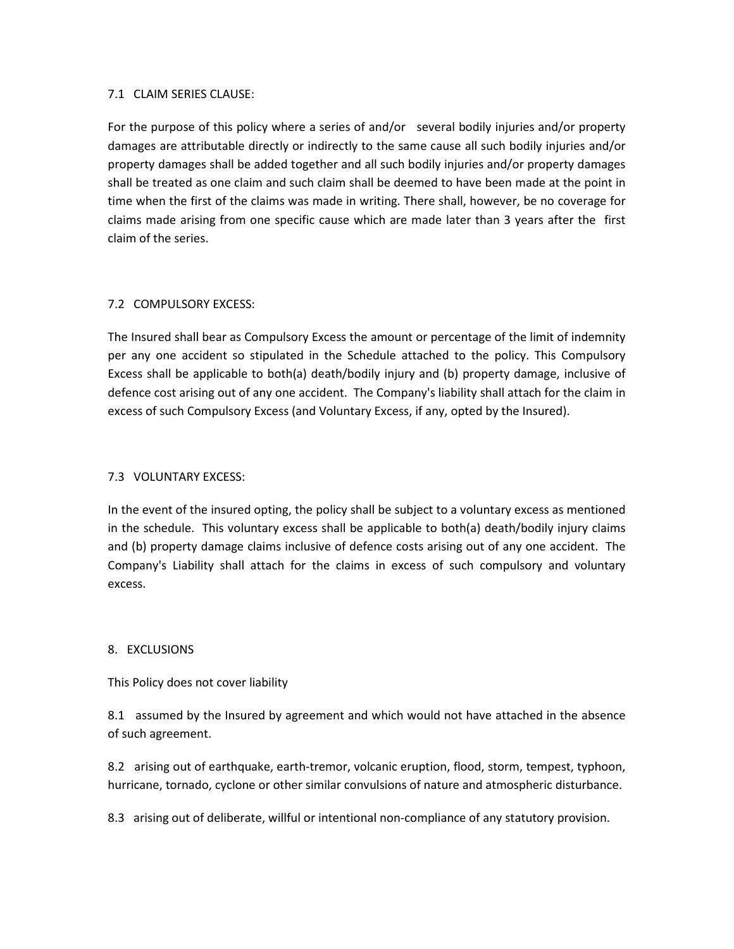### 7.1 CLAIM SERIES CLAUSE:

For the purpose of this policy where a series of and/or several bodily injuries and/or property damages are attributable directly or indirectly to the same cause all such bodily injuries and/or property damages shall be added together and all such bodily injuries and/or property damages shall be treated as one claim and such claim shall be deemed to have been made at the point in time when the first of the claims was made in writing. There shall, however, be no coverage for claims made arising from one specific cause which are made later than 3 years after the first claim of the series.

# 7.2 COMPULSORY EXCESS:

The Insured shall bear as Compulsory Excess the amount or percentage of the limit of indemnity per any one accident so stipulated in the Schedule attached to the policy. This Compulsory Excess shall be applicable to both(a) death/bodily injury and (b) property damage, inclusive of defence cost arising out of any one accident. The Company's liability shall attach for the claim in excess of such Compulsory Excess (and Voluntary Excess, if any, opted by the Insured).

# 7.3 VOLUNTARY EXCESS:

In the event of the insured opting, the policy shall be subject to a voluntary excess as mentioned in the schedule. This voluntary excess shall be applicable to both(a) death/bodily injury claims and (b) property damage claims inclusive of defence costs arising out of any one accident. The Company's Liability shall attach for the claims in excess of such compulsory and voluntary excess.

# 8. EXCLUSIONS

This Policy does not cover liability

8.1 assumed by the Insured by agreement and which would not have attached in the absence of such agreement.

8.2 arising out of earthquake, earth-tremor, volcanic eruption, flood, storm, tempest, typhoon, hurricane, tornado, cyclone or other similar convulsions of nature and atmospheric disturbance.

8.3 arising out of deliberate, willful or intentional non-compliance of any statutory provision.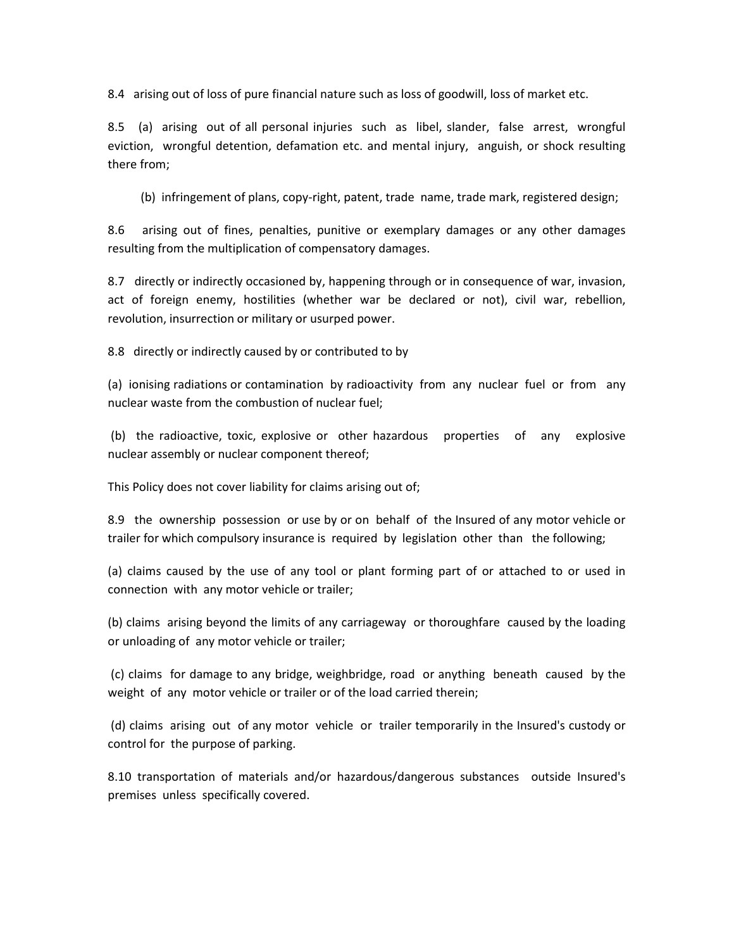8.4 arising out of loss of pure financial nature such as loss of goodwill, loss of market etc.

8.5 (a) arising out of all personal injuries such as libel, slander, false arrest, wrongful eviction, wrongful detention, defamation etc. and mental injury, anguish, or shock resulting there from;

(b) infringement of plans, copy-right, patent, trade name, trade mark, registered design;

8.6 arising out of fines, penalties, punitive or exemplary damages or any other damages resulting from the multiplication of compensatory damages.

8.7 directly or indirectly occasioned by, happening through or in consequence of war, invasion, act of foreign enemy, hostilities (whether war be declared or not), civil war, rebellion, revolution, insurrection or military or usurped power.

8.8 directly or indirectly caused by or contributed to by

(a) ionising radiations or contamination by radioactivity from any nuclear fuel or from any nuclear waste from the combustion of nuclear fuel;

 (b) the radioactive, toxic, explosive or other hazardous properties of any explosive nuclear assembly or nuclear component thereof;

This Policy does not cover liability for claims arising out of;

8.9 the ownership possession or use by or on behalf of the Insured of any motor vehicle or trailer for which compulsory insurance is required by legislation other than the following;

(a) claims caused by the use of any tool or plant forming part of or attached to or used in connection with any motor vehicle or trailer;

(b) claims arising beyond the limits of any carriageway or thoroughfare caused by the loading or unloading of any motor vehicle or trailer;

 (c) claims for damage to any bridge, weighbridge, road or anything beneath caused by the weight of any motor vehicle or trailer or of the load carried therein;

 (d) claims arising out of any motor vehicle or trailer temporarily in the Insured's custody or control for the purpose of parking.

8.10 transportation of materials and/or hazardous/dangerous substances outside Insured's premises unless specifically covered.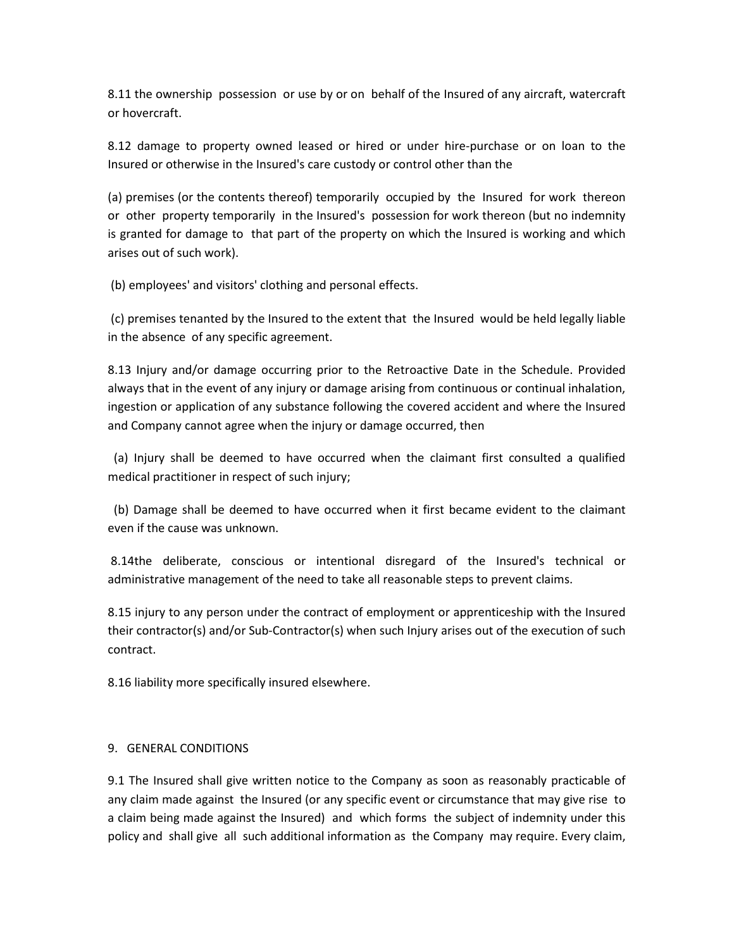8.11 the ownership possession or use by or on behalf of the Insured of any aircraft, watercraft or hovercraft.

8.12 damage to property owned leased or hired or under hire-purchase or on loan to the Insured or otherwise in the Insured's care custody or control other than the

(a) premises (or the contents thereof) temporarily occupied by the Insured for work thereon or other property temporarily in the Insured's possession for work thereon (but no indemnity is granted for damage to that part of the property on which the Insured is working and which arises out of such work).

(b) employees' and visitors' clothing and personal effects.

 (c) premises tenanted by the Insured to the extent that the Insured would be held legally liable in the absence of any specific agreement.

8.13 Injury and/or damage occurring prior to the Retroactive Date in the Schedule. Provided always that in the event of any injury or damage arising from continuous or continual inhalation, ingestion or application of any substance following the covered accident and where the Insured and Company cannot agree when the injury or damage occurred, then

 (a) Injury shall be deemed to have occurred when the claimant first consulted a qualified medical practitioner in respect of such injury;

 (b) Damage shall be deemed to have occurred when it first became evident to the claimant even if the cause was unknown.

 8.14the deliberate, conscious or intentional disregard of the Insured's technical or administrative management of the need to take all reasonable steps to prevent claims.

8.15 injury to any person under the contract of employment or apprenticeship with the Insured their contractor(s) and/or Sub-Contractor(s) when such Injury arises out of the execution of such contract.

8.16 liability more specifically insured elsewhere.

# 9. GENERAL CONDITIONS

9.1 The Insured shall give written notice to the Company as soon as reasonably practicable of any claim made against the Insured (or any specific event or circumstance that may give rise to a claim being made against the Insured) and which forms the subject of indemnity under this policy and shall give all such additional information as the Company may require. Every claim,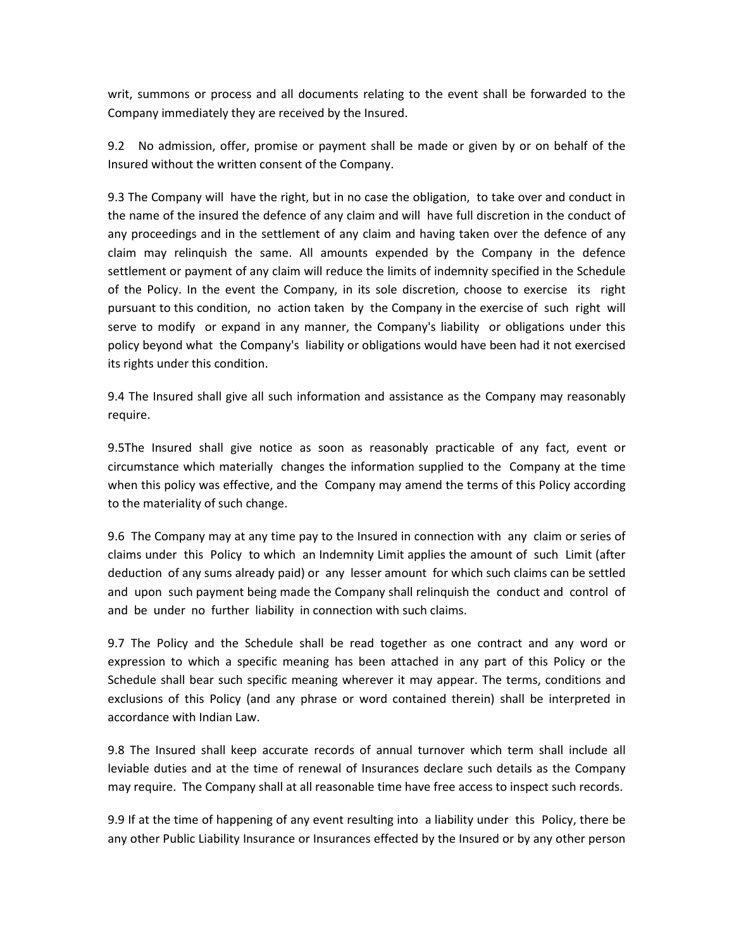writ, summons or process and all documents relating to the event shall be forwarded to the Company immediately they are received by the Insured.

9.2 No admission, offer, promise or payment shall be made or given by or on behalf of the Insured without the written consent of the Company.

9.3 The Company will have the right, but in no case the obligation, to take over and conduct in the name of the insured the defence of any claim and will have full discretion in the conduct of any proceedings and in the settlement of any claim and having taken over the defence of any claim may relinquish the same. All amounts expended by the Company in the defence settlement or payment of any claim will reduce the limits of indemnity specified in the Schedule of the Policy. In the event the Company, in its sole discretion, choose to exercise its right pursuant to this condition, no action taken by the Company in the exercise of such right will serve to modify or expand in any manner, the Company's liability or obligations under this policy beyond what the Company's liability or obligations would have been had it not exercised its rights under this condition.

9.4 The Insured shall give all such information and assistance as the Company may reasonably require.

9.5The Insured shall give notice as soon as reasonably practicable of any fact, event or circumstance which materially changes the information supplied to the Company at the time when this policy was effective, and the Company may amend the terms of this Policy according to the materiality of such change.

9.6 The Company may at any time pay to the Insured in connection with any claim or series of claims under this Policy to which an Indemnity Limit applies the amount of such Limit (after deduction of any sums already paid) or any lesser amount for which such claims can be settled and upon such payment being made the Company shall relinquish the conduct and control of and be under no further liability in connection with such claims.

9.7 The Policy and the Schedule shall be read together as one contract and any word or expression to which a specific meaning has been attached in any part of this Policy or the Schedule shall bear such specific meaning wherever it may appear. The terms, conditions and exclusions of this Policy (and any phrase or word contained therein) shall be interpreted in accordance with Indian Law.

9.8 The Insured shall keep accurate records of annual turnover which term shall include all leviable duties and at the time of renewal of Insurances declare such details as the Company may require. The Company shall at all reasonable time have free access to inspect such records.

9.9 If at the time of happening of any event resulting into a liability under this Policy, there be any other Public Liability Insurance or Insurances effected by the Insured or by any other person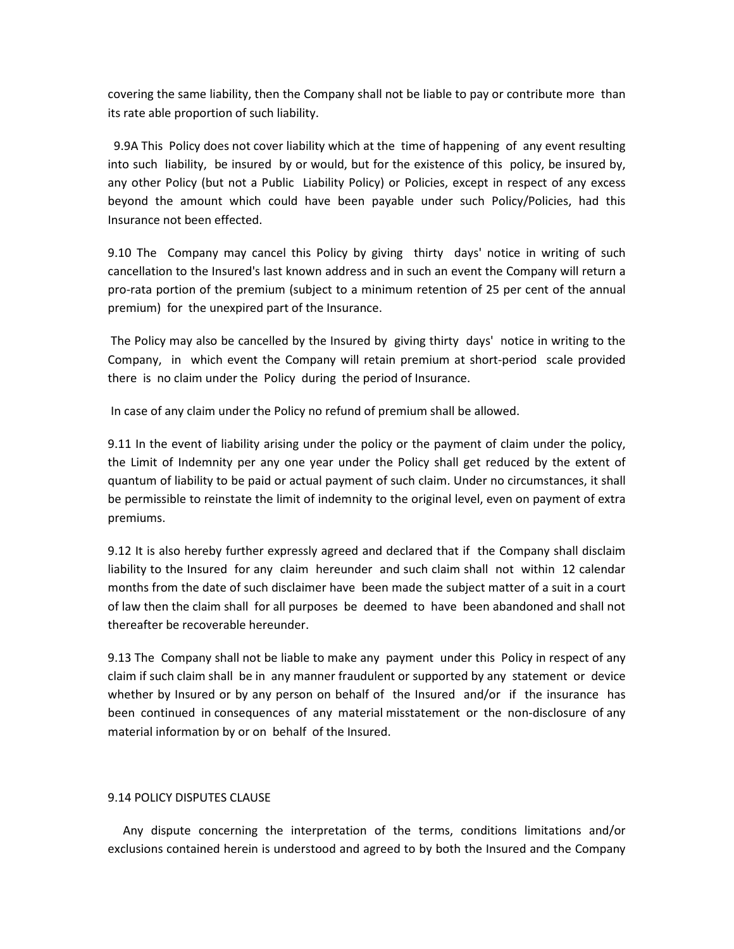covering the same liability, then the Company shall not be liable to pay or contribute more than its rate able proportion of such liability.

 9.9A This Policy does not cover liability which at the time of happening of any event resulting into such liability, be insured by or would, but for the existence of this policy, be insured by, any other Policy (but not a Public Liability Policy) or Policies, except in respect of any excess beyond the amount which could have been payable under such Policy/Policies, had this Insurance not been effected.

9.10 The Company may cancel this Policy by giving thirty days' notice in writing of such cancellation to the Insured's last known address and in such an event the Company will return a pro-rata portion of the premium (subject to a minimum retention of 25 per cent of the annual premium) for the unexpired part of the Insurance.

 The Policy may also be cancelled by the Insured by giving thirty days' notice in writing to the Company, in which event the Company will retain premium at short-period scale provided there is no claim under the Policy during the period of Insurance.

In case of any claim under the Policy no refund of premium shall be allowed.

9.11 In the event of liability arising under the policy or the payment of claim under the policy, the Limit of Indemnity per any one year under the Policy shall get reduced by the extent of quantum of liability to be paid or actual payment of such claim. Under no circumstances, it shall be permissible to reinstate the limit of indemnity to the original level, even on payment of extra premiums.

9.12 It is also hereby further expressly agreed and declared that if the Company shall disclaim liability to the Insured for any claim hereunder and such claim shall not within 12 calendar months from the date of such disclaimer have been made the subject matter of a suit in a court of law then the claim shall for all purposes be deemed to have been abandoned and shall not thereafter be recoverable hereunder.

9.13 The Company shall not be liable to make any payment under this Policy in respect of any claim if such claim shall be in any manner fraudulent or supported by any statement or device whether by Insured or by any person on behalf of the Insured and/or if the insurance has been continued in consequences of any material misstatement or the non-disclosure of any material information by or on behalf of the Insured.

# 9.14 POLICY DISPUTES CLAUSE

 Any dispute concerning the interpretation of the terms, conditions limitations and/or exclusions contained herein is understood and agreed to by both the Insured and the Company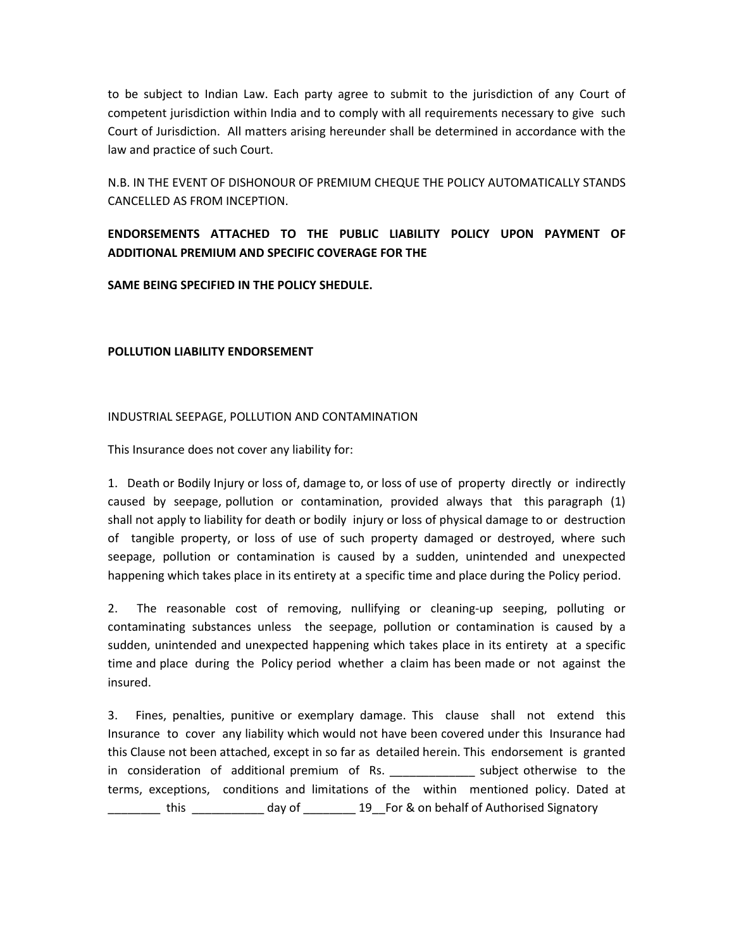to be subject to Indian Law. Each party agree to submit to the jurisdiction of any Court of competent jurisdiction within India and to comply with all requirements necessary to give such Court of Jurisdiction. All matters arising hereunder shall be determined in accordance with the law and practice of such Court.

N.B. IN THE EVENT OF DISHONOUR OF PREMIUM CHEQUE THE POLICY AUTOMATICALLY STANDS CANCELLED AS FROM INCEPTION.

# ENDORSEMENTS ATTACHED TO THE PUBLIC LIABILITY POLICY UPON PAYMENT OF ADDITIONAL PREMIUM AND SPECIFIC COVERAGE FOR THE

SAME BEING SPECIFIED IN THE POLICY SHEDULE.

# POLLUTION LIABILITY ENDORSEMENT

# INDUSTRIAL SEEPAGE, POLLUTION AND CONTAMINATION

This Insurance does not cover any liability for:

1. Death or Bodily Injury or loss of, damage to, or loss of use of property directly or indirectly caused by seepage, pollution or contamination, provided always that this paragraph (1) shall not apply to liability for death or bodily injury or loss of physical damage to or destruction of tangible property, or loss of use of such property damaged or destroyed, where such seepage, pollution or contamination is caused by a sudden, unintended and unexpected happening which takes place in its entirety at a specific time and place during the Policy period.

2. The reasonable cost of removing, nullifying or cleaning-up seeping, polluting or contaminating substances unless the seepage, pollution or contamination is caused by a sudden, unintended and unexpected happening which takes place in its entirety at a specific time and place during the Policy period whether a claim has been made or not against the insured.

3. Fines, penalties, punitive or exemplary damage. This clause shall not extend this Insurance to cover any liability which would not have been covered under this Insurance had this Clause not been attached, except in so far as detailed herein. This endorsement is granted in consideration of additional premium of Rs. \_\_\_\_\_\_\_\_\_\_\_\_\_\_\_ subject otherwise to the terms, exceptions, conditions and limitations of the within mentioned policy. Dated at \_\_\_\_\_\_\_\_ this \_\_\_\_\_\_\_\_\_\_\_ day of \_\_\_\_\_\_\_\_ 19\_For & on behalf of Authorised Signatory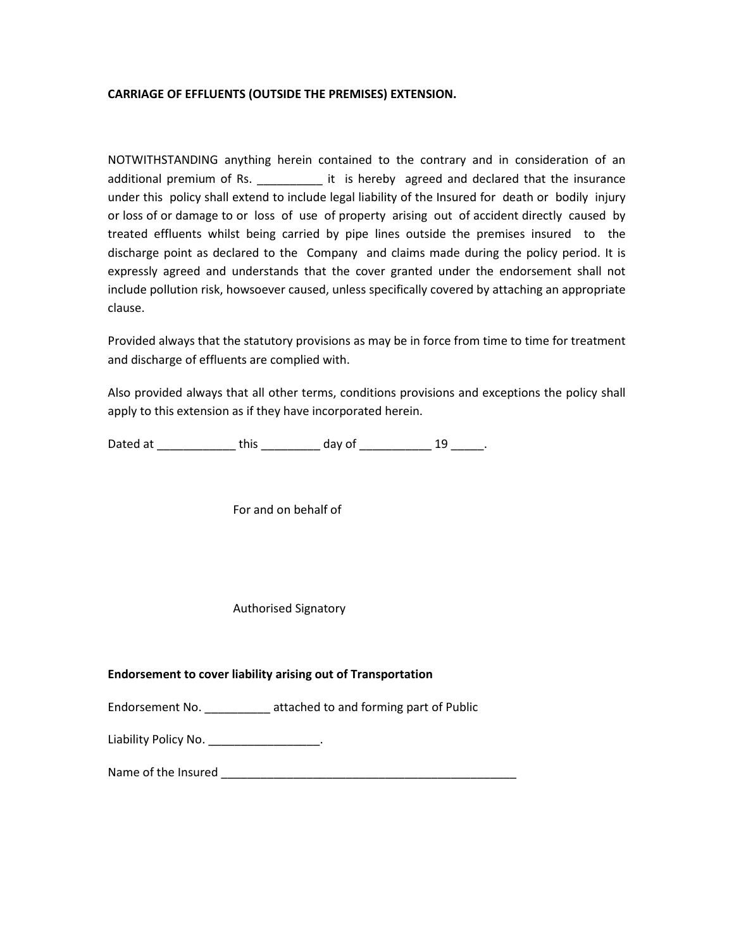# CARRIAGE OF EFFLUENTS (OUTSIDE THE PREMISES) EXTENSION.

NOTWITHSTANDING anything herein contained to the contrary and in consideration of an additional premium of Rs.  $\qquad \qquad$  it is hereby agreed and declared that the insurance under this policy shall extend to include legal liability of the Insured for death or bodily injury or loss of or damage to or loss of use of property arising out of accident directly caused by treated effluents whilst being carried by pipe lines outside the premises insured to the discharge point as declared to the Company and claims made during the policy period. It is expressly agreed and understands that the cover granted under the endorsement shall not include pollution risk, howsoever caused, unless specifically covered by attaching an appropriate clause.

Provided always that the statutory provisions as may be in force from time to time for treatment and discharge of effluents are complied with.

Also provided always that all other terms, conditions provisions and exceptions the policy shall apply to this extension as if they have incorporated herein.

Dated at \_\_\_\_\_\_\_\_\_\_\_\_\_\_\_ this \_\_\_\_\_\_\_\_\_\_\_ day of \_\_\_\_\_\_\_\_\_\_\_\_\_\_ 19 \_\_\_\_\_\_.

For and on behalf of

Authorised Signatory

#### Endorsement to cover liability arising out of Transportation

Endorsement No. \_\_\_\_\_\_\_\_\_\_ attached to and forming part of Public

Liability Policy No. \_\_\_\_\_\_\_\_\_\_\_\_\_\_\_\_\_\_.

Name of the Insured \_\_\_\_\_\_\_\_\_\_\_\_\_\_\_\_\_\_\_\_\_\_\_\_\_\_\_\_\_\_\_\_\_\_\_\_\_\_\_\_\_\_\_\_\_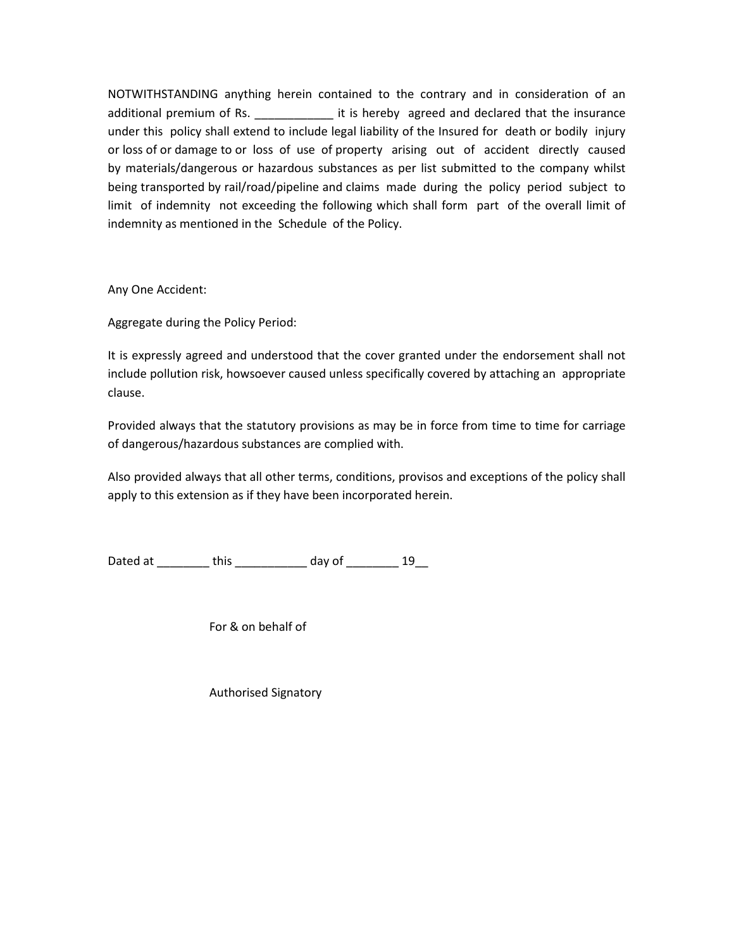NOTWITHSTANDING anything herein contained to the contrary and in consideration of an additional premium of Rs. The same it is hereby agreed and declared that the insurance under this policy shall extend to include legal liability of the Insured for death or bodily injury or loss of or damage to or loss of use of property arising out of accident directly caused by materials/dangerous or hazardous substances as per list submitted to the company whilst being transported by rail/road/pipeline and claims made during the policy period subject to limit of indemnity not exceeding the following which shall form part of the overall limit of indemnity as mentioned in the Schedule of the Policy.

Any One Accident:

Aggregate during the Policy Period:

It is expressly agreed and understood that the cover granted under the endorsement shall not include pollution risk, howsoever caused unless specifically covered by attaching an appropriate clause.

Provided always that the statutory provisions as may be in force from time to time for carriage of dangerous/hazardous substances are complied with.

Also provided always that all other terms, conditions, provisos and exceptions of the policy shall apply to this extension as if they have been incorporated herein.

Dated at \_\_\_\_\_\_\_\_\_ this \_\_\_\_\_\_\_\_\_\_\_ day of \_\_\_\_\_\_\_\_ 19

For & on behalf of

Authorised Signatory